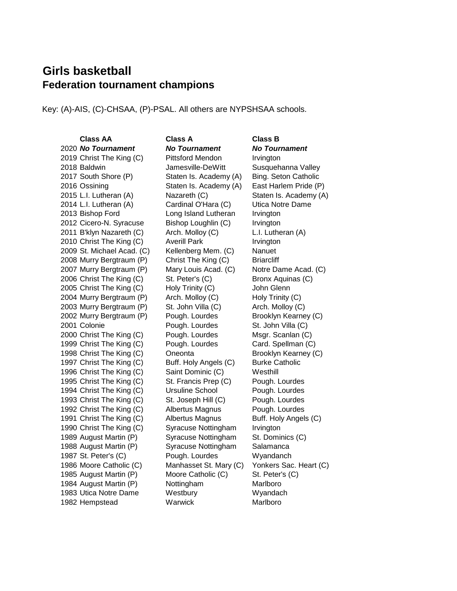## **Girls basketball Federation tournament champions**

Key: (A)-AIS, (C)-CHSAA, (P)-PSAL. All others are NYPSHSAA schools.

2020 *No Tournament No Tournament No Tournament* 2019 Christ The King (C) Pittsford Mendon Irvington 2018 Baldwin **Jamesville-DeWitt** Susquehanna Valley 2017 South Shore (P) Staten Is. Academy (A) Bing. Seton Catholic 2016 Ossining Staten Is. Academy (A) East Harlem Pride (P) 2015 L.I. Lutheran (A) Nazareth (C) Staten Is. Academy (A) 2014 L.I. Lutheran (A) Cardinal O'Hara (C) Utica Notre Dame 2013 Bishop Ford Long Island Lutheran Irvington 2012 Cicero-N. Syracuse Bishop Loughlin (C) Irvington 2011 B'klyn Nazareth (C) Arch. Molloy (C) L.I. Lutheran (A) 2010 Christ The King (C) Averill Park Irvington 2009 St. Michael Acad. (C) Kellenberg Mem. (C) Nanuet 2008 Murry Bergtraum (P) Christ The King (C) Briarcliff 2007 Murry Bergtraum (P) Mary Louis Acad. (C) Notre Dame Acad. (C) 2006 Christ The King (C) St. Peter's (C) Bronx Aquinas (C) 2005 Christ The King (C) Holy Trinity (C) John Glenn 2004 Murry Bergtraum (P) Arch. Molloy (C) Holy Trinity (C) 2003 Murry Bergtraum (P) St. John Villa (C) Arch. Molloy (C) 2002 Murry Bergtraum (P) Pough. Lourdes Brooklyn Kearney (C) 2001 Colonie Pough. Lourdes St. John Villa (C) 2000 Christ The King (C) Pough. Lourdes Msgr. Scanlan (C) 1999 Christ The King (C) Pough. Lourdes Card. Spellman (C) 1998 Christ The King (C) Oneonta Brooklyn Kearney (C) 1997 Christ The King (C) Buff. Holy Angels (C) Burke Catholic 1996 Christ The King (C) Saint Dominic (C) Westhill 1995 Christ The King (C) St. Francis Prep (C) Pough. Lourdes 1994 Christ The King (C) Ursuline School Pough. Lourdes 1993 Christ The King (C) St. Joseph Hill (C) Pough. Lourdes 1992 Christ The King (C) Albertus Magnus Pough. Lourdes 1991 Christ The King (C) Albertus Magnus Buff. Holy Angels (C) 1990 Christ The King (C) Syracuse Nottingham Irvington 1989 August Martin (P) Syracuse Nottingham St. Dominics (C) 1988 August Martin (P) Syracuse Nottingham Salamanca 1987 St. Peter's (C) **Pough. Lourdes** Wyandanch 1986 Moore Catholic (C) Manhasset St. Mary (C) Yonkers Sac. Heart (C) 1985 August Martin (P) Moore Catholic (C) St. Peter's (C) 1984 August Martin (P) **Nottingham** Marlboro 1983 Utica Notre Dame Westbury Wyandach 1982 Hempstead Warwick Marlboro

**Class AA Class A Class B**